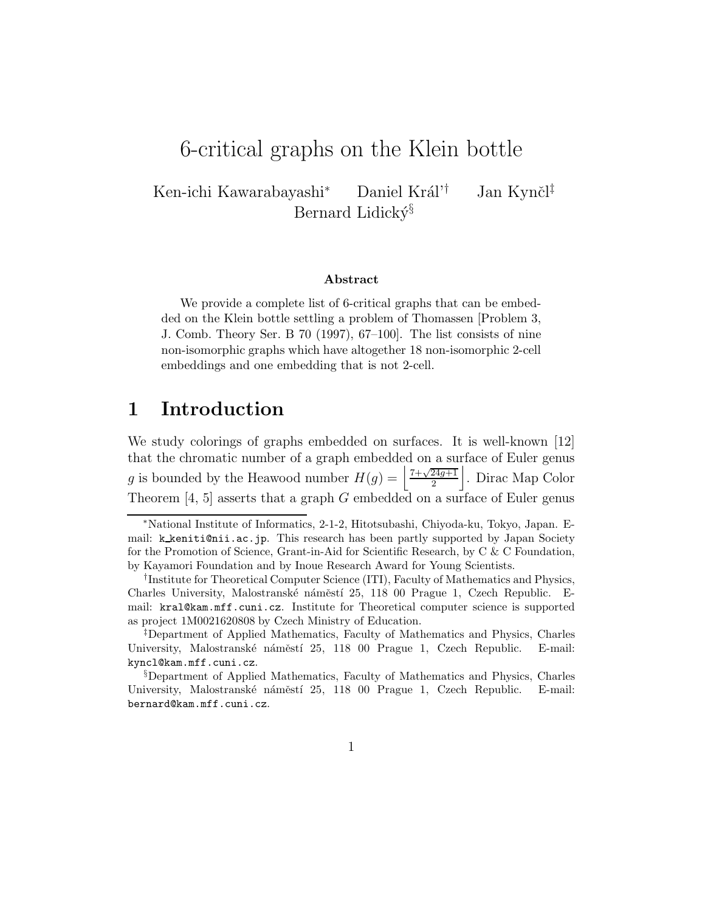# 6-critical graphs on the Klein bottle

Ken-ichi Kawarabayashi Daniel Král'<sup>†</sup> Jan Kynčl<sup>‡</sup> Bernard Lidický<sup>§</sup>

#### Abstract

We provide a complete list of 6-critical graphs that can be embedded on the Klein bottle settling a problem of Thomassen [Problem 3, J. Comb. Theory Ser. B 70 (1997), 67–100]. The list consists of nine non-isomorphic graphs which have altogether 18 non-isomorphic 2-cell embeddings and one embedding that is not 2-cell.

## 1 Introduction

We study colorings of graphs embedded on surfaces. It is well-known [12] that the chromatic number of a graph embedded on a surface of Euler genus g is bounded by the Heawood number  $H(g) = \left| \frac{7+\sqrt{24g+1}}{2} \right|$ 2 |. Dirac Map Color Theorem  $[4, 5]$  asserts that a graph G embedded on a surface of Euler genus

<sup>∗</sup>National Institute of Informatics, 2-1-2, Hitotsubashi, Chiyoda-ku, Tokyo, Japan. Email: k keniti@nii.ac.jp. This research has been partly supported by Japan Society for the Promotion of Science, Grant-in-Aid for Scientific Research, by C & C Foundation, by Kayamori Foundation and by Inoue Research Award for Young Scientists.

<sup>†</sup>Institute for Theoretical Computer Science (ITI), Faculty of Mathematics and Physics, Charles University, Malostranské náměstí 25, 118 00 Prague 1, Czech Republic. Email: kral@kam.mff.cuni.cz. Institute for Theoretical computer science is supported as project 1M0021620808 by Czech Ministry of Education.

<sup>‡</sup>Department of Applied Mathematics, Faculty of Mathematics and Physics, Charles University, Malostranské náměstí 25, 118 00 Prague 1, Czech Republic. E-mail: kyncl@kam.mff.cuni.cz.

<sup>§</sup>Department of Applied Mathematics, Faculty of Mathematics and Physics, Charles University, Malostranské náměstí 25, 118 00 Prague 1, Czech Republic. E-mail: bernard@kam.mff.cuni.cz.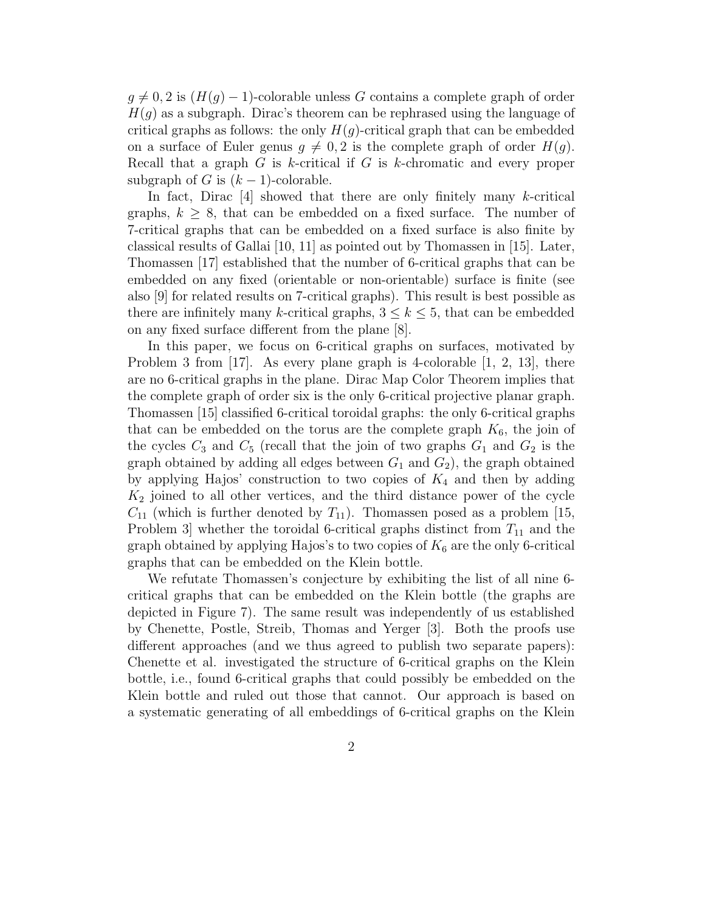$g \neq 0, 2$  is  $(H(g) - 1)$ -colorable unless G contains a complete graph of order  $H(g)$  as a subgraph. Dirac's theorem can be rephrased using the language of critical graphs as follows: the only  $H(q)$ -critical graph that can be embedded on a surface of Euler genus  $q \neq 0, 2$  is the complete graph of order  $H(q)$ . Recall that a graph  $G$  is k-critical if  $G$  is k-chromatic and every proper subgraph of G is  $(k-1)$ -colorable.

In fact, Dirac  $[4]$  showed that there are only finitely many k-critical graphs,  $k \geq 8$ , that can be embedded on a fixed surface. The number of 7-critical graphs that can be embedded on a fixed surface is also finite by classical results of Gallai [10, 11] as pointed out by Thomassen in [15]. Later, Thomassen [17] established that the number of 6-critical graphs that can be embedded on any fixed (orientable or non-orientable) surface is finite (see also [9] for related results on 7-critical graphs). This result is best possible as there are infinitely many k-critical graphs,  $3 \leq k \leq 5$ , that can be embedded on any fixed surface different from the plane [8].

In this paper, we focus on 6-critical graphs on surfaces, motivated by Problem 3 from  $[17]$ . As every plane graph is 4-colorable  $[1, 2, 13]$ , there are no 6-critical graphs in the plane. Dirac Map Color Theorem implies that the complete graph of order six is the only 6-critical projective planar graph. Thomassen [15] classified 6-critical toroidal graphs: the only 6-critical graphs that can be embedded on the torus are the complete graph  $K_6$ , the join of the cycles  $C_3$  and  $C_5$  (recall that the join of two graphs  $G_1$  and  $G_2$  is the graph obtained by adding all edges between  $G_1$  and  $G_2$ ), the graph obtained by applying Hajos' construction to two copies of  $K_4$  and then by adding  $K_2$  joined to all other vertices, and the third distance power of the cycle  $C_{11}$  (which is further denoted by  $T_{11}$ ). Thomassen posed as a problem [15, Problem 3 whether the toroidal 6-critical graphs distinct from  $T_{11}$  and the graph obtained by applying Hajos's to two copies of  $K_6$  are the only 6-critical graphs that can be embedded on the Klein bottle.

We refutate Thomassen's conjecture by exhibiting the list of all nine 6 critical graphs that can be embedded on the Klein bottle (the graphs are depicted in Figure 7). The same result was independently of us established by Chenette, Postle, Streib, Thomas and Yerger [3]. Both the proofs use different approaches (and we thus agreed to publish two separate papers): Chenette et al. investigated the structure of 6-critical graphs on the Klein bottle, i.e., found 6-critical graphs that could possibly be embedded on the Klein bottle and ruled out those that cannot. Our approach is based on a systematic generating of all embeddings of 6-critical graphs on the Klein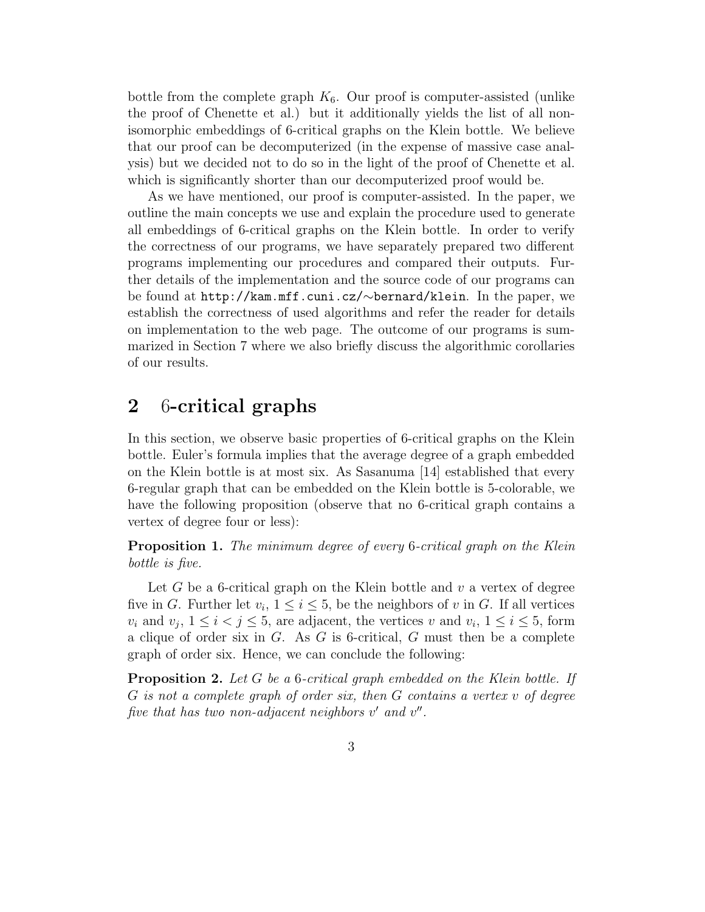bottle from the complete graph  $K_6$ . Our proof is computer-assisted (unlike the proof of Chenette et al.) but it additionally yields the list of all nonisomorphic embeddings of 6-critical graphs on the Klein bottle. We believe that our proof can be decomputerized (in the expense of massive case analysis) but we decided not to do so in the light of the proof of Chenette et al. which is significantly shorter than our decomputerized proof would be.

As we have mentioned, our proof is computer-assisted. In the paper, we outline the main concepts we use and explain the procedure used to generate all embeddings of 6-critical graphs on the Klein bottle. In order to verify the correctness of our programs, we have separately prepared two different programs implementing our procedures and compared their outputs. Further details of the implementation and the source code of our programs can be found at http://kam.mff.cuni.cz/∼bernard/klein. In the paper, we establish the correctness of used algorithms and refer the reader for details on implementation to the web page. The outcome of our programs is summarized in Section 7 where we also briefly discuss the algorithmic corollaries of our results.

## 2 6-critical graphs

In this section, we observe basic properties of 6-critical graphs on the Klein bottle. Euler's formula implies that the average degree of a graph embedded on the Klein bottle is at most six. As Sasanuma [14] established that every 6-regular graph that can be embedded on the Klein bottle is 5-colorable, we have the following proposition (observe that no 6-critical graph contains a vertex of degree four or less):

**Proposition 1.** The minimum degree of every 6-critical graph on the Klein bottle is five.

Let G be a 6-critical graph on the Klein bottle and  $v$  a vertex of degree five in G. Further let  $v_i$ ,  $1 \leq i \leq 5$ , be the neighbors of v in G. If all vertices  $v_i$  and  $v_j$ ,  $1 \leq i \leq j \leq 5$ , are adjacent, the vertices v and  $v_i$ ,  $1 \leq i \leq 5$ , form a clique of order six in  $G$ . As  $G$  is 6-critical,  $G$  must then be a complete graph of order six. Hence, we can conclude the following:

**Proposition 2.** Let G be a 6-critical graph embedded on the Klein bottle. If G is not a complete graph of order six, then G contains a vertex v of degree five that has two non-adjacent neighbors  $v'$  and  $v''$ .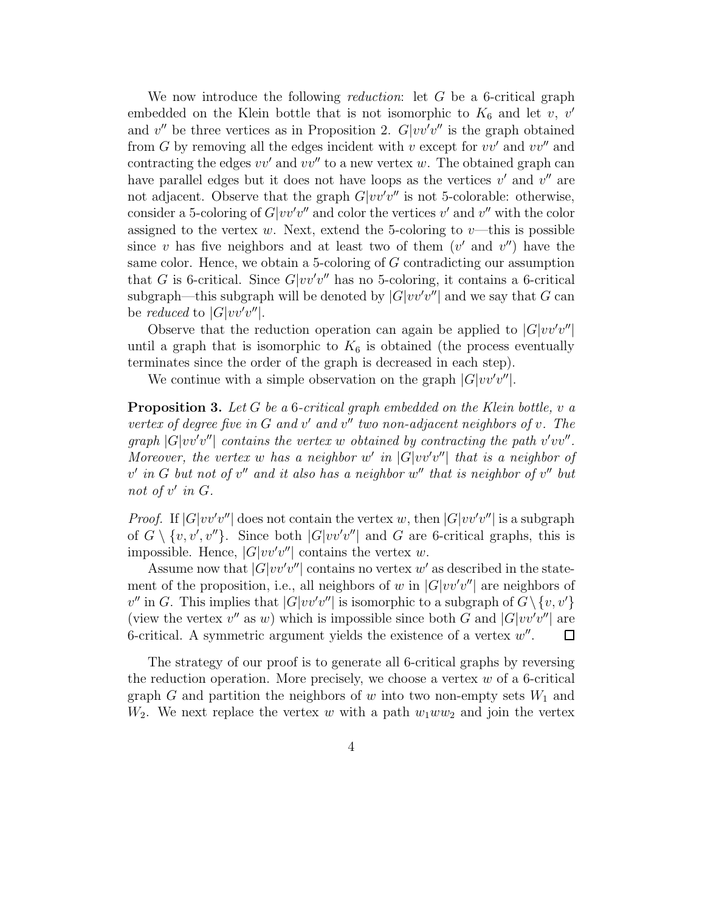We now introduce the following *reduction*: let  $G$  be a 6-critical graph embedded on the Klein bottle that is not isomorphic to  $K_6$  and let  $v, v'$ and  $v''$  be three vertices as in Proposition 2.  $G|vv'v''$  is the graph obtained from G by removing all the edges incident with v except for  $vv'$  and  $vv''$  and contracting the edges  $vv'$  and  $vv''$  to a new vertex w. The obtained graph can have parallel edges but it does not have loops as the vertices  $v'$  and  $v''$  are not adjacent. Observe that the graph  $G|vv'v''$  is not 5-colorable: otherwise, consider a 5-coloring of  $G|vv'v''$  and color the vertices v' and v'' with the color assigned to the vertex w. Next, extend the 5-coloring to  $v$ —this is possible since v has five neighbors and at least two of them  $(v'$  and  $v'')$  have the same color. Hence, we obtain a 5-coloring of G contradicting our assumption that G is 6-critical. Since  $G|vv'v''$  has no 5-coloring, it contains a 6-critical subgraph—this subgraph will be denoted by  $|G|vv'v''|$  and we say that G can be *reduced* to  $|G|vv'v''|$ .

Observe that the reduction operation can again be applied to  $|G|vv'v''|$ until a graph that is isomorphic to  $K_6$  is obtained (the process eventually terminates since the order of the graph is decreased in each step).

We continue with a simple observation on the graph  $|G|vv'v''|$ .

**Proposition 3.** Let G be a 6-critical graph embedded on the Klein bottle, v a vertex of degree five in G and v' and v'' two non-adjacent neighbors of v. The graph  $|G|vv'v''|$  contains the vertex w obtained by contracting the path  $v'vv''$ . Moreover, the vertex w has a neighbor w' in  $|G|vv'v''|$  that is a neighbor of  $v'$  in G but not of  $v''$  and it also has a neighbor  $w''$  that is neighbor of  $v''$  but not of  $v'$  in  $G$ .

*Proof.* If  $|G|vv'v''|$  does not contain the vertex w, then  $|G|vv'v''|$  is a subgraph of  $G \setminus \{v, v', v''\}$ . Since both  $|G|vv'v''|$  and  $G$  are 6-critical graphs, this is impossible. Hence,  $|G|vv'v''|$  contains the vertex w.

Assume now that  $|G|vv'v''|$  contains no vertex w' as described in the statement of the proposition, i.e., all neighbors of w in  $|G|vv'v''|$  are neighbors of  $v''$  in G. This implies that  $|G|vv'v''|$  is isomorphic to a subgraph of  $G \setminus \{v, v'\}$ (view the vertex  $v''$  as w) which is impossible since both G and  $|G|vv'v''|$  are 6-critical. A symmetric argument yields the existence of a vertex  $w''$ .

The strategy of our proof is to generate all 6-critical graphs by reversing the reduction operation. More precisely, we choose a vertex  $w$  of a 6-critical graph G and partition the neighbors of w into two non-empty sets  $W_1$  and  $W_2$ . We next replace the vertex w with a path  $w_1ww_2$  and join the vertex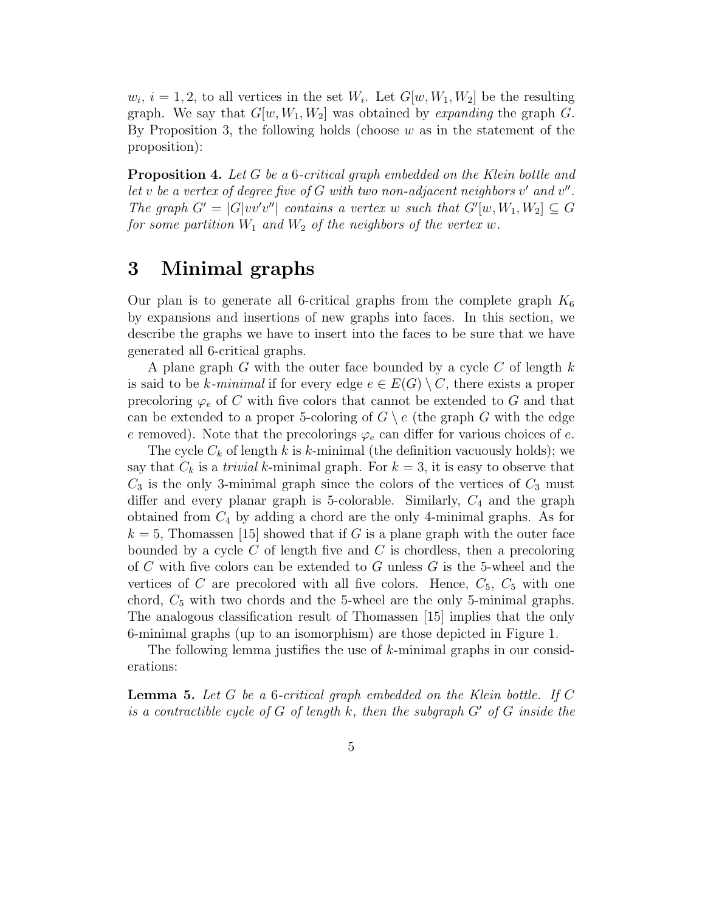$w_i$ ,  $i = 1, 2$ , to all vertices in the set  $W_i$ . Let  $G[w, W_1, W_2]$  be the resulting graph. We say that  $G[w, W_1, W_2]$  was obtained by *expanding* the graph G. By Proposition 3, the following holds (choose  $w$  as in the statement of the proposition):

Proposition 4. Let G be a 6-critical graph embedded on the Klein bottle and let v be a vertex of degree five of  $G$  with two non-adjacent neighbors  $v'$  and  $v''$ . The graph  $G' = |G|vv'v''|$  contains a vertex w such that  $G'[w, W_1, W_2] \subseteq G$ for some partition  $W_1$  and  $W_2$  of the neighbors of the vertex w.

## 3 Minimal graphs

Our plan is to generate all 6-critical graphs from the complete graph  $K_6$ by expansions and insertions of new graphs into faces. In this section, we describe the graphs we have to insert into the faces to be sure that we have generated all 6-critical graphs.

A plane graph G with the outer face bounded by a cycle C of length  $k$ is said to be k-minimal if for every edge  $e \in E(G) \setminus C$ , there exists a proper precoloring  $\varphi_e$  of C with five colors that cannot be extended to G and that can be extended to a proper 5-coloring of  $G \setminus e$  (the graph G with the edge e removed). Note that the precolorings  $\varphi_e$  can differ for various choices of e.

The cycle  $C_k$  of length k is k-minimal (the definition vacuously holds); we say that  $C_k$  is a *trivial* k-minimal graph. For  $k = 3$ , it is easy to observe that  $C_3$  is the only 3-minimal graph since the colors of the vertices of  $C_3$  must differ and every planar graph is 5-colorable. Similarly,  $C_4$  and the graph obtained from  $C_4$  by adding a chord are the only 4-minimal graphs. As for  $k = 5$ , Thomassen [15] showed that if G is a plane graph with the outer face bounded by a cycle  $C$  of length five and  $C$  is chordless, then a precoloring of C with five colors can be extended to G unless  $G$  is the 5-wheel and the vertices of C are precolored with all five colors. Hence,  $C_5$ ,  $C_5$  with one chord,  $C_5$  with two chords and the 5-wheel are the only 5-minimal graphs. The analogous classification result of Thomassen [15] implies that the only 6-minimal graphs (up to an isomorphism) are those depicted in Figure 1.

The following lemma justifies the use of  $k$ -minimal graphs in our considerations:

**Lemma 5.** Let  $G$  be a 6-critical graph embedded on the Klein bottle. If  $C$ is a contractible cycle of G of length k, then the subgraph  $G'$  of G inside the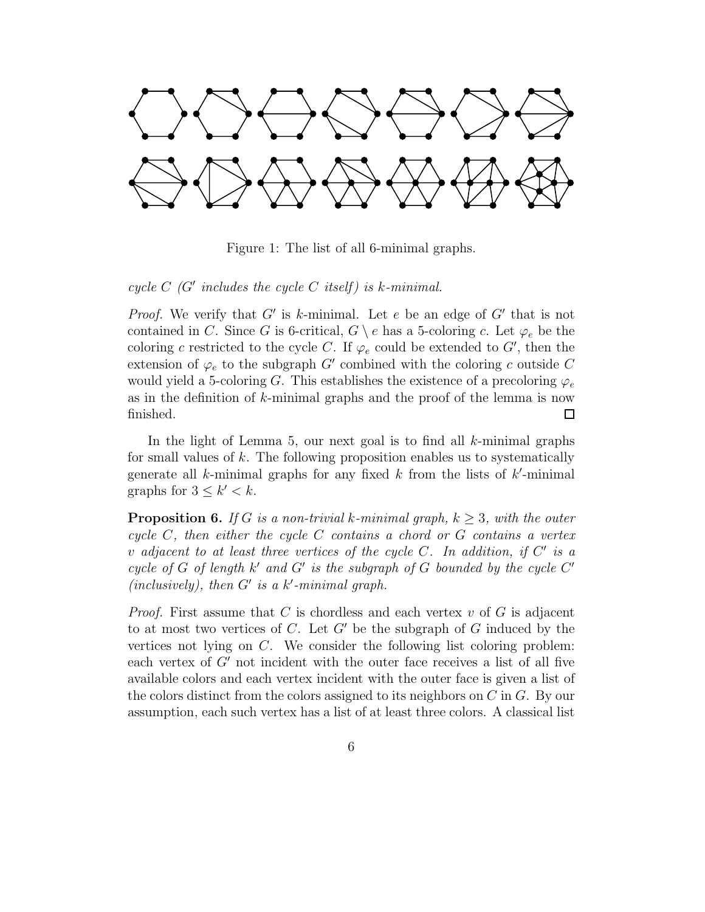

Figure 1: The list of all 6-minimal graphs.

cycle  $C$  (G' includes the cycle C itself) is k-minimal.

*Proof.* We verify that  $G'$  is k-minimal. Let e be an edge of  $G'$  that is not contained in C. Since G is 6-critical,  $G \setminus e$  has a 5-coloring c. Let  $\varphi_e$  be the coloring c restricted to the cycle C. If  $\varphi_e$  could be extended to G', then the extension of  $\varphi_e$  to the subgraph G' combined with the coloring c outside C would yield a 5-coloring G. This establishes the existence of a precoloring  $\varphi_e$ as in the definition of  $k$ -minimal graphs and the proof of the lemma is now finished.  $\Box$ 

In the light of Lemma 5, our next goal is to find all  $k$ -minimal graphs for small values of k. The following proposition enables us to systematically generate all  $k$ -minimal graphs for any fixed  $k$  from the lists of  $k'$ -minimal graphs for  $3 \leq k' \leq k$ .

**Proposition 6.** If G is a non-trivial k-minimal graph,  $k \geq 3$ , with the outer cycle  $C$ , then either the cycle  $C$  contains a chord or  $G$  contains a vertex v adjacent to at least three vertices of the cycle C. In addition, if  $C'$  is a cycle of G of length  $k'$  and  $G'$  is the subgraph of G bounded by the cycle  $C'$  $(inclusively), then G' is a k'-minimal graph.$ 

*Proof.* First assume that C is chordless and each vertex  $v$  of G is adjacent to at most two vertices of C. Let  $G'$  be the subgraph of G induced by the vertices not lying on C. We consider the following list coloring problem: each vertex of  $G'$  not incident with the outer face receives a list of all five available colors and each vertex incident with the outer face is given a list of the colors distinct from the colors assigned to its neighbors on C in G. By our assumption, each such vertex has a list of at least three colors. A classical list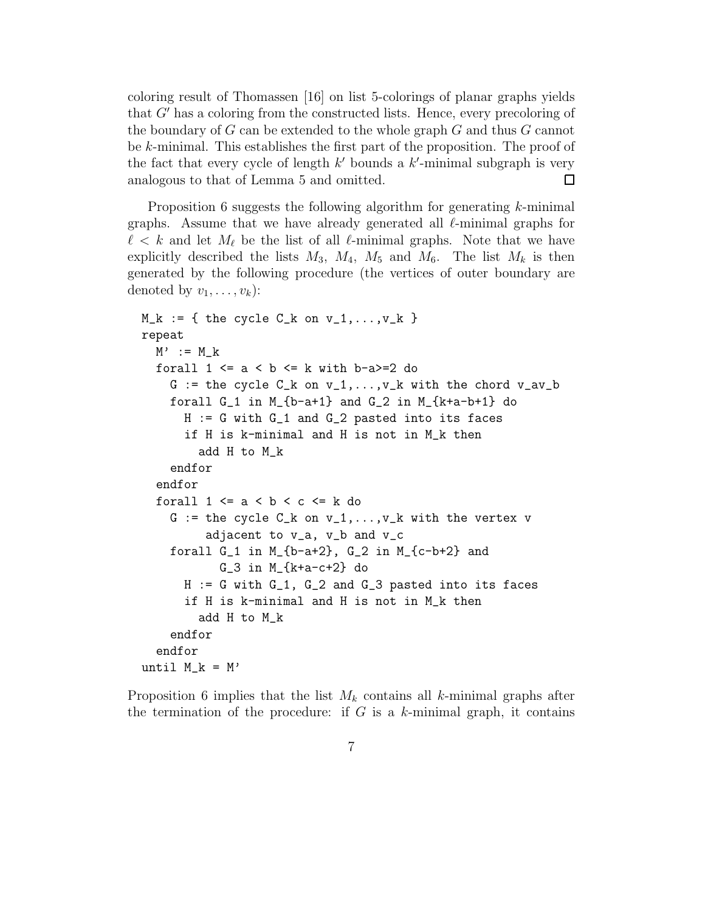coloring result of Thomassen [16] on list 5-colorings of planar graphs yields that G" has a coloring from the constructed lists. Hence, every precoloring of the boundary of  $G$  can be extended to the whole graph  $G$  and thus  $G$  cannot be k-minimal. This establishes the first part of the proposition. The proof of the fact that every cycle of length  $k'$  bounds a  $k'$ -minimal subgraph is very analogous to that of Lemma 5 and omitted.  $\Box$ 

Proposition 6 suggests the following algorithm for generating k-minimal graphs. Assume that we have already generated all  $\ell$ -minimal graphs for  $\ell < k$  and let  $M_{\ell}$  be the list of all  $\ell$ -minimal graphs. Note that we have explicitly described the lists  $M_3$ ,  $M_4$ ,  $M_5$  and  $M_6$ . The list  $M_k$  is then generated by the following procedure (the vertices of outer boundary are denoted by  $v_1, \ldots, v_k$ :

```
M_k := \{ the cycle C_k on v_1, \ldots, v_k }
repeat
  M' := M_kforall 1 \le a \le b \le k with b-a>=2 do
    G := the cycle C_k on v_1, \ldots, v_k with the chord v_av_bforall G_1 in M_{-}{b-a+1} and G_2 in M_{-}{k+a-b+1} do
      H := G with G_1 and G_2 pasted into its faces
      if H is k-minimal and H is not in M_k then
        add H to M_k
    endfor
  endfor
  forall 1 \le a \le b \le c \le k do
    G := the cycle C_k on v_1, \ldots, v_k with the vertex v
         adjacent to v_a, v_b and v_c
    forall G_1 in M_{b-a+2}, G_2 in M_{c-b+2} and
           G_3 in M_{k+a-c+2} do
      H := G with G_1, G_2 and G_3 pasted into its faces
      if H is k-minimal and H is not in M_k then
        add H to M_k
    endfor
  endfor
until M_k = M'
```
Proposition 6 implies that the list  $M_k$  contains all k-minimal graphs after the termination of the procedure: if  $G$  is a  $k$ -minimal graph, it contains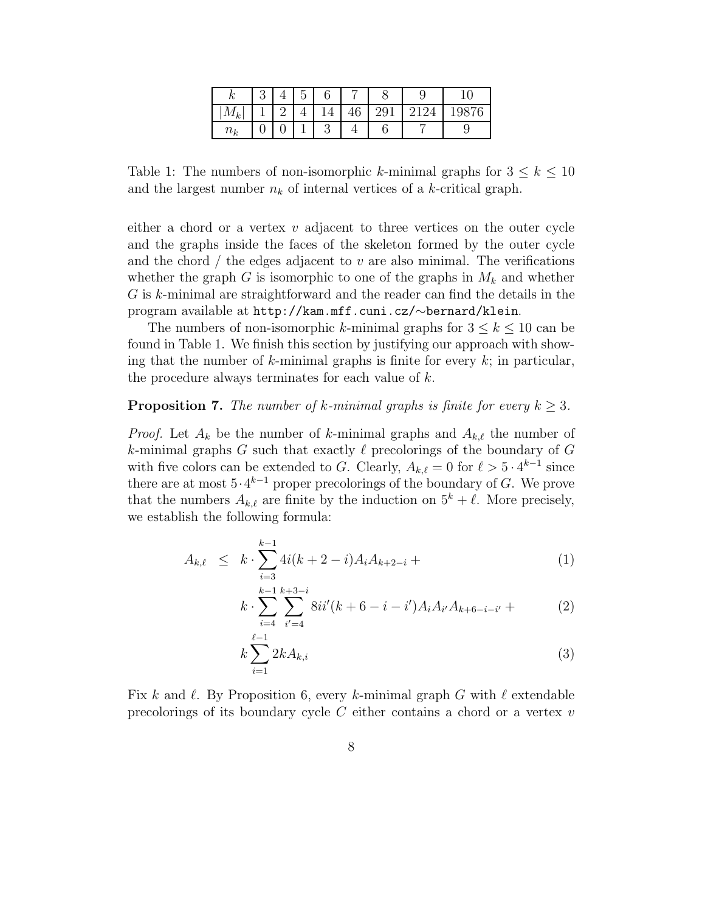| '∼<br>Γv          | U |  |         |        | ౿ | ◡ |
|-------------------|---|--|---------|--------|---|---|
| l^<br>2012 s<br>ĸ |   |  | c<br>ΙV | Ü<br>ິ |   |   |
| $n_k$             |   |  |         |        |   | ್ |

Table 1: The numbers of non-isomorphic k-minimal graphs for  $3 \leq k \leq 10$ and the largest number  $n_k$  of internal vertices of a k-critical graph.

either a chord or a vertex  $v$  adjacent to three vertices on the outer cycle and the graphs inside the faces of the skeleton formed by the outer cycle and the chord  $\ell$  the edges adjacent to  $v$  are also minimal. The verifications whether the graph G is isomorphic to one of the graphs in  $M_k$  and whether G is k-minimal are straightforward and the reader can find the details in the program available at http://kam.mff.cuni.cz/∼bernard/klein.

The numbers of non-isomorphic k-minimal graphs for  $3 \leq k \leq 10$  can be found in Table 1. We finish this section by justifying our approach with showing that the number of k-minimal graphs is finite for every  $k$ ; in particular, the procedure always terminates for each value of  $k$ .

#### **Proposition 7.** The number of k-minimal graphs is finite for every  $k \geq 3$ .

*Proof.* Let  $A_k$  be the number of k-minimal graphs and  $A_{k,\ell}$  the number of k-minimal graphs G such that exactly  $\ell$  precolorings of the boundary of G with five colors can be extended to G. Clearly,  $A_{k,\ell} = 0$  for  $\ell > 5 \cdot 4^{k-1}$  since there are at most  $5 \cdot 4^{k-1}$  proper precolorings of the boundary of G. We prove that the numbers  $A_{k,\ell}$  are finite by the induction on  $5^k + \ell$ . More precisely, we establish the following formula:

$$
A_{k,\ell} \leq k \cdot \sum_{i=3}^{k-1} 4i(k+2-i)A_i A_{k+2-i} + \tag{1}
$$

$$
k \cdot \sum_{i=4}^{k-1} \sum_{i'=4}^{k+3-i} 8ii'(k+6-i-i')A_i A_{i'} A_{k+6-i-i'} + \tag{2}
$$

$$
k\sum_{i=1}^{\ell-1} 2kA_{k,i} \tag{3}
$$

Fix k and  $\ell$ . By Proposition 6, every k-minimal graph G with  $\ell$  extendable precolorings of its boundary cycle  $C$  either contains a chord or a vertex  $v$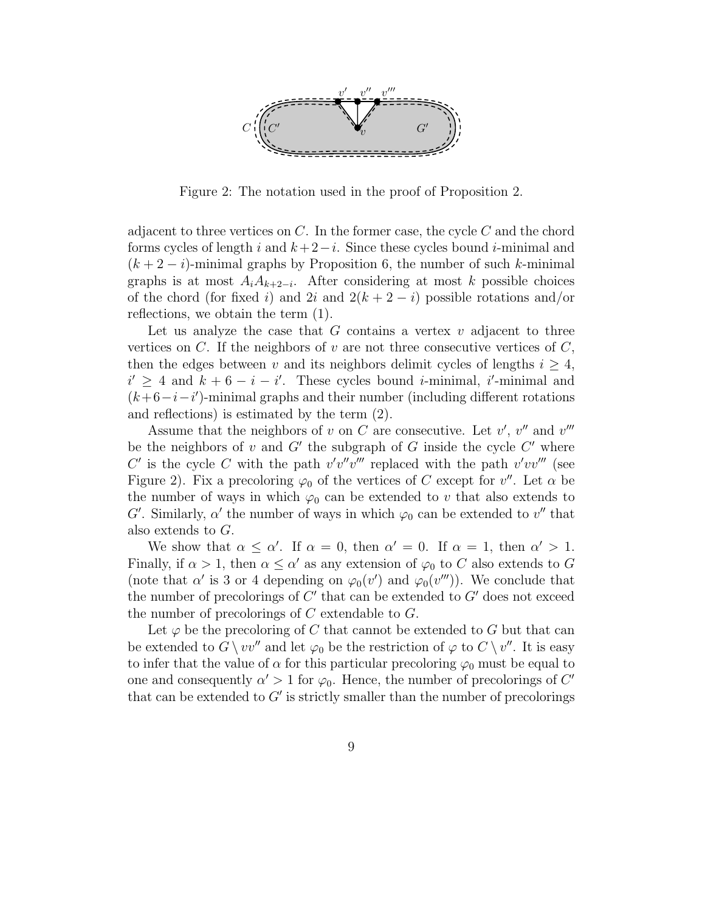

Figure 2: The notation used in the proof of Proposition 2.

adjacent to three vertices on  $C$ . In the former case, the cycle  $C$  and the chord forms cycles of length i and  $k+2-i$ . Since these cycles bound i-minimal and  $(k + 2 - i)$ -minimal graphs by Proposition 6, the number of such k-minimal graphs is at most  $A_iA_{k+2-i}$ . After considering at most k possible choices of the chord (for fixed i) and 2i and  $2(k+2-i)$  possible rotations and/or reflections, we obtain the term (1).

Let us analyze the case that  $G$  contains a vertex  $v$  adjacent to three vertices on  $C$ . If the neighbors of  $v$  are not three consecutive vertices of  $C$ , then the edges between v and its neighbors delimit cycles of lengths  $i \geq 4$ ,  $i' \geq 4$  and  $k + 6 - i - i'$ . These cycles bound *i*-minimal, *i'*-minimal and  $(k+6-i-i')$ -minimal graphs and their number (including different rotations and reflections) is estimated by the term (2).

Assume that the neighbors of v on C are consecutive. Let  $v'$ ,  $v''$  and  $v'''$ be the neighbors of v and  $G'$  the subgraph of G inside the cycle  $C'$  where C' is the cycle C with the path  $v'v''v'''$  replaced with the path  $v'vv'''$  (see Figure 2). Fix a precoloring  $\varphi_0$  of the vertices of C except for  $v''$ . Let  $\alpha$  be the number of ways in which  $\varphi_0$  can be extended to v that also extends to G'. Similarly,  $\alpha'$  the number of ways in which  $\varphi_0$  can be extended to  $v''$  that also extends to G.

We show that  $\alpha \leq \alpha'$ . If  $\alpha = 0$ , then  $\alpha' = 0$ . If  $\alpha = 1$ , then  $\alpha' > 1$ . Finally, if  $\alpha > 1$ , then  $\alpha \leq \alpha'$  as any extension of  $\varphi_0$  to C also extends to G (note that  $\alpha'$  is 3 or 4 depending on  $\varphi_0(v')$  and  $\varphi_0(v''')$ ). We conclude that the number of precolorings of  $C'$  that can be extended to  $G'$  does not exceed the number of precolorings of  $C$  extendable to  $G$ .

Let  $\varphi$  be the precoloring of C that cannot be extended to G but that can be extended to  $G \setminus vv''$  and let  $\varphi_0$  be the restriction of  $\varphi$  to  $C \setminus v''$ . It is easy to infer that the value of  $\alpha$  for this particular precoloring  $\varphi_0$  must be equal to one and consequently  $\alpha' > 1$  for  $\varphi_0$ . Hence, the number of precolorings of C' that can be extended to  $G'$  is strictly smaller than the number of precolorings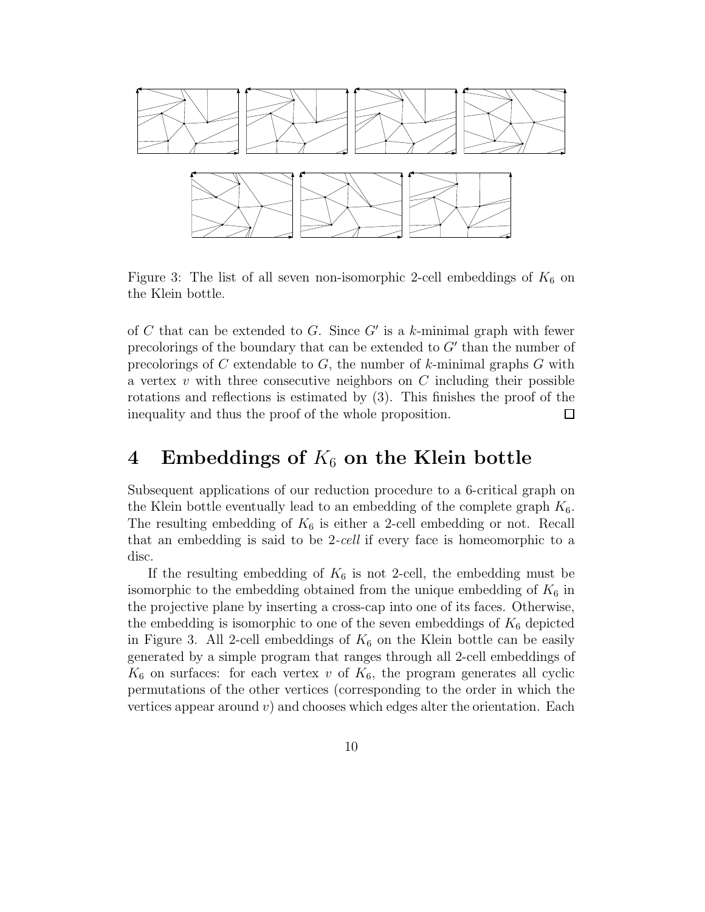

Figure 3: The list of all seven non-isomorphic 2-cell embeddings of  $K_6$  on the Klein bottle.

of C that can be extended to G. Since  $G'$  is a k-minimal graph with fewer precolorings of the boundary that can be extended to G" than the number of precolorings of C extendable to  $G$ , the number of  $k$ -minimal graphs  $G$  with a vertex  $v$  with three consecutive neighbors on  $C$  including their possible rotations and reflections is estimated by (3). This finishes the proof of the inequality and thus the proof of the whole proposition.  $\Box$ 

### 4 Embeddings of  $K_6$  on the Klein bottle

Subsequent applications of our reduction procedure to a 6-critical graph on the Klein bottle eventually lead to an embedding of the complete graph  $K_6$ . The resulting embedding of  $K_6$  is either a 2-cell embedding or not. Recall that an embedding is said to be 2-cell if every face is homeomorphic to a disc.

If the resulting embedding of  $K_6$  is not 2-cell, the embedding must be isomorphic to the embedding obtained from the unique embedding of  $K_6$  in the projective plane by inserting a cross-cap into one of its faces. Otherwise, the embedding is isomorphic to one of the seven embeddings of  $K_6$  depicted in Figure 3. All 2-cell embeddings of  $K_6$  on the Klein bottle can be easily generated by a simple program that ranges through all 2-cell embeddings of  $K_6$  on surfaces: for each vertex v of  $K_6$ , the program generates all cyclic permutations of the other vertices (corresponding to the order in which the vertices appear around  $v$ ) and chooses which edges alter the orientation. Each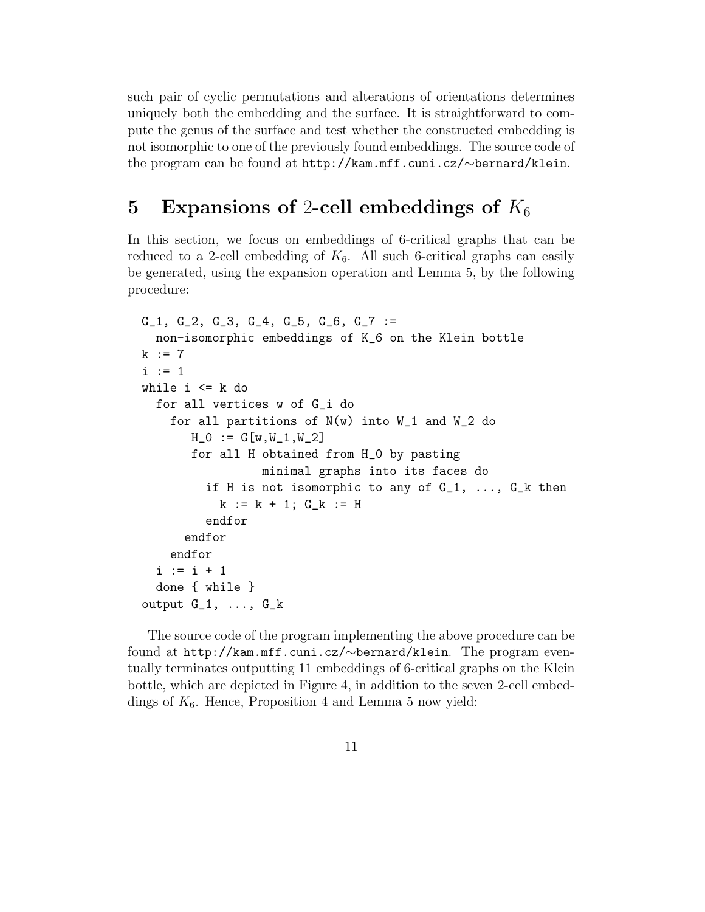such pair of cyclic permutations and alterations of orientations determines uniquely both the embedding and the surface. It is straightforward to compute the genus of the surface and test whether the constructed embedding is not isomorphic to one of the previously found embeddings. The source code of the program can be found at http://kam.mff.cuni.cz/∼bernard/klein.

## 5 Expansions of 2-cell embeddings of  $K_6$

In this section, we focus on embeddings of 6-critical graphs that can be reduced to a 2-cell embedding of  $K_6$ . All such 6-critical graphs can easily be generated, using the expansion operation and Lemma 5, by the following procedure:

```
G_1, G_2, G_3, G_4, G_5, G_6, G_7 :=
  non-isomorphic embeddings of K_6 on the Klein bottle
k := 7i := 1while i \leq k do
  for all vertices w of G_i do
    for all partitions of N(w) into W_1 and W_2 do
       H_0 := G[w, W_1, W_2]for all H obtained from H_0 by pasting
                 minimal graphs into its faces do
         if H is not isomorphic to any of G_1, ..., G_k then
           k := k + 1; G_k := Hendfor
      endfor
    endfor
  i := i + 1done { while }
output G_1, \ldots, G_k
```
The source code of the program implementing the above procedure can be found at http://kam.mff.cuni.cz/∼bernard/klein. The program eventually terminates outputting 11 embeddings of 6-critical graphs on the Klein bottle, which are depicted in Figure 4, in addition to the seven 2-cell embeddings of  $K_6$ . Hence, Proposition 4 and Lemma 5 now yield: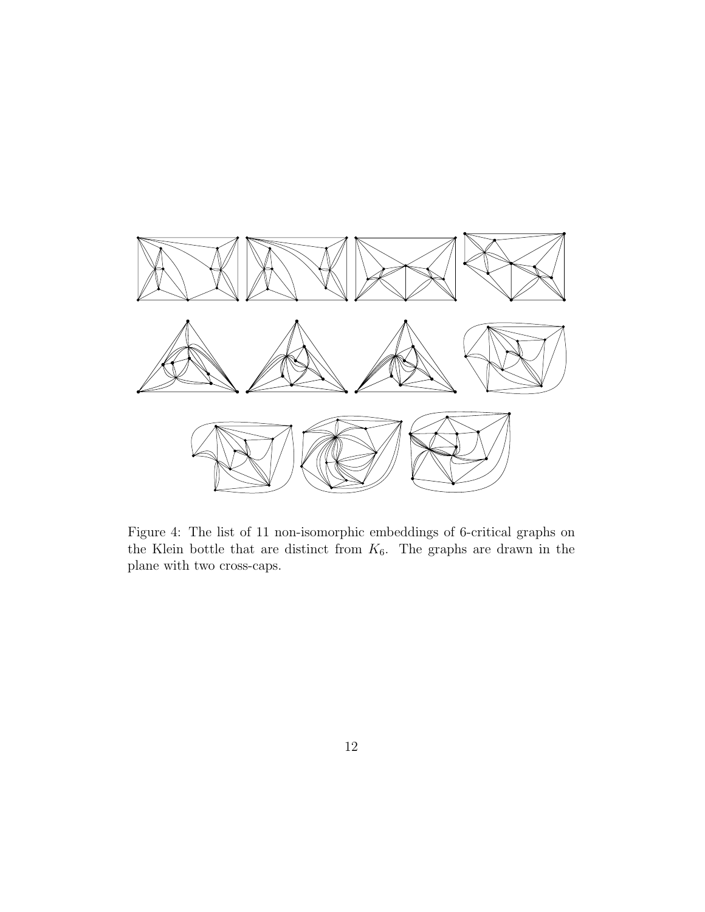

Figure 4: The list of 11 non-isomorphic embeddings of 6-critical graphs on the Klein bottle that are distinct from  $K_6$ . The graphs are drawn in the plane with two cross-caps.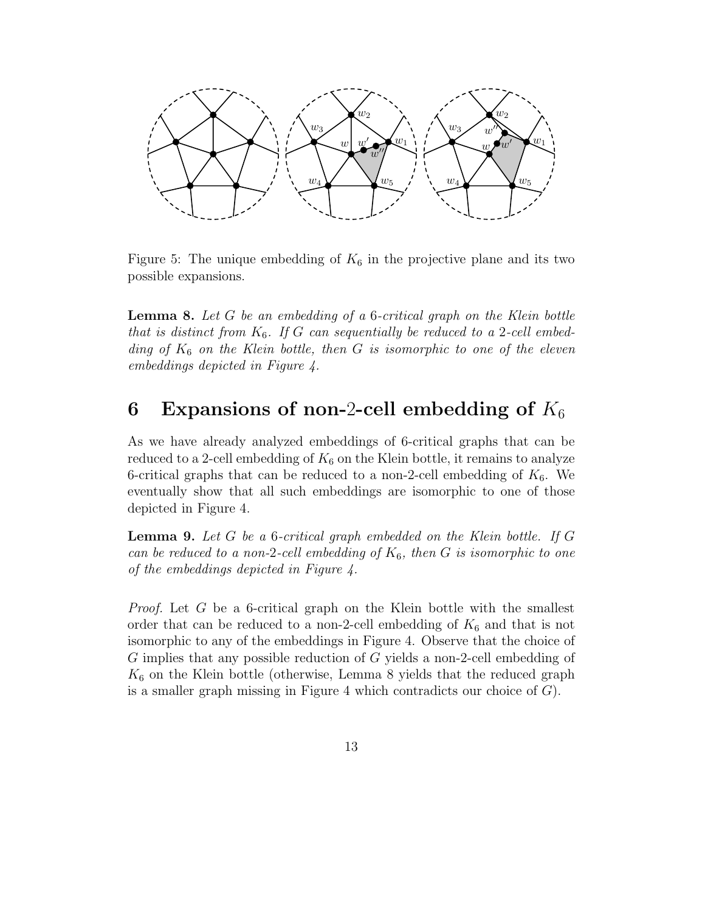

Figure 5: The unique embedding of  $K_6$  in the projective plane and its two possible expansions.

**Lemma 8.** Let  $G$  be an embedding of a 6-critical graph on the Klein bottle that is distinct from  $K_6$ . If G can sequentially be reduced to a 2-cell embedding of  $K_6$  on the Klein bottle, then G is isomorphic to one of the eleven embeddings depicted in Figure 4.

## 6 Expansions of non-2-cell embedding of  $K_6$

As we have already analyzed embeddings of 6-critical graphs that can be reduced to a 2-cell embedding of  $K_6$  on the Klein bottle, it remains to analyze 6-critical graphs that can be reduced to a non-2-cell embedding of  $K_6$ . We eventually show that all such embeddings are isomorphic to one of those depicted in Figure 4.

**Lemma 9.** Let  $G$  be a 6-critical graph embedded on the Klein bottle. If  $G$ can be reduced to a non-2-cell embedding of  $K_6$ , then G is isomorphic to one of the embeddings depicted in Figure 4.

Proof. Let G be a 6-critical graph on the Klein bottle with the smallest order that can be reduced to a non-2-cell embedding of  $K_6$  and that is not isomorphic to any of the embeddings in Figure 4. Observe that the choice of G implies that any possible reduction of G yields a non-2-cell embedding of  $K_6$  on the Klein bottle (otherwise, Lemma 8 yields that the reduced graph is a smaller graph missing in Figure 4 which contradicts our choice of  $G$ ).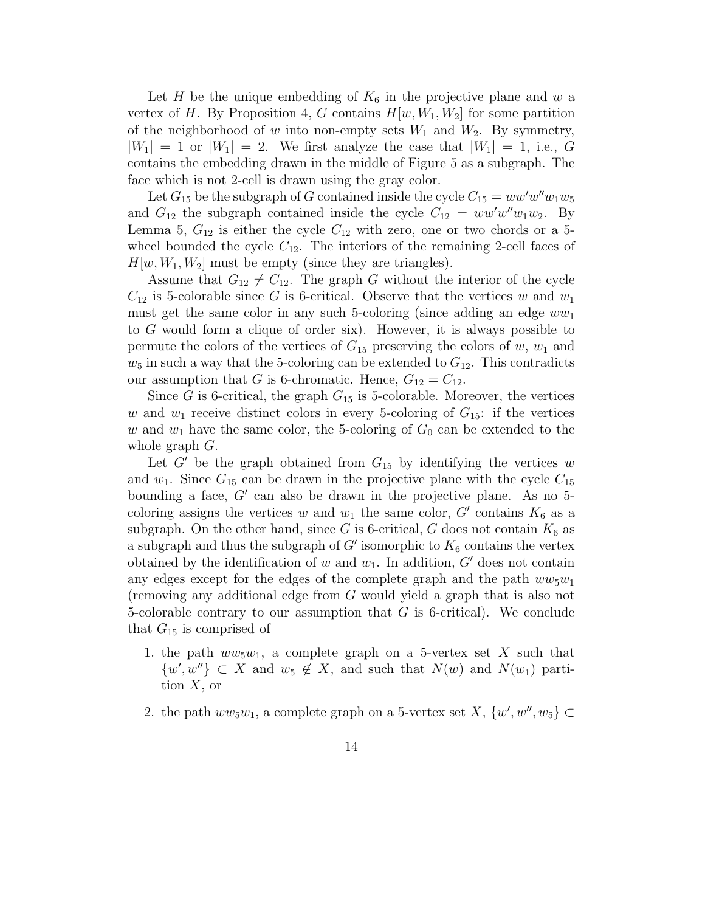Let H be the unique embedding of  $K_6$  in the projective plane and w a vertex of H. By Proposition 4, G contains  $H[w, W_1, W_2]$  for some partition of the neighborhood of w into non-empty sets  $W_1$  and  $W_2$ . By symmetry,  $|W_1| = 1$  or  $|W_1| = 2$ . We first analyze the case that  $|W_1| = 1$ , i.e., G contains the embedding drawn in the middle of Figure 5 as a subgraph. The face which is not 2-cell is drawn using the gray color.

Let  $G_{15}$  be the subgraph of G contained inside the cycle  $C_{15} = ww'w''w_1w_5$ and  $G_{12}$  the subgraph contained inside the cycle  $C_{12} = ww'w''w_1w_2$ . By Lemma 5,  $G_{12}$  is either the cycle  $C_{12}$  with zero, one or two chords or a 5wheel bounded the cycle  $C_{12}$ . The interiors of the remaining 2-cell faces of  $H[w, W_1, W_2]$  must be empty (since they are triangles).

Assume that  $G_{12} \neq C_{12}$ . The graph G without the interior of the cycle  $C_{12}$  is 5-colorable since G is 6-critical. Observe that the vertices w and  $w_1$ must get the same color in any such 5-coloring (since adding an edge  $ww_1$ to G would form a clique of order six). However, it is always possible to permute the colors of the vertices of  $G_{15}$  preserving the colors of  $w, w_1$  and  $w_5$  in such a way that the 5-coloring can be extended to  $G_{12}$ . This contradicts our assumption that G is 6-chromatic. Hence,  $G_{12} = C_{12}$ .

Since G is 6-critical, the graph  $G_{15}$  is 5-colorable. Moreover, the vertices w and  $w_1$  receive distinct colors in every 5-coloring of  $G_{15}$ : if the vertices w and  $w_1$  have the same color, the 5-coloring of  $G_0$  can be extended to the whole graph G.

Let  $G'$  be the graph obtained from  $G_{15}$  by identifying the vertices w and  $w_1$ . Since  $G_{15}$  can be drawn in the projective plane with the cycle  $C_{15}$ bounding a face,  $G'$  can also be drawn in the projective plane. As no 5coloring assigns the vertices w and  $w_1$  the same color, G' contains  $K_6$  as a subgraph. On the other hand, since G is 6-critical, G does not contain  $K_6$  as a subgraph and thus the subgraph of  $G'$  isomorphic to  $K_6$  contains the vertex obtained by the identification of w and  $w_1$ . In addition, G' does not contain any edges except for the edges of the complete graph and the path  $ww_5w_1$ (removing any additional edge from G would yield a graph that is also not 5-colorable contrary to our assumption that  $G$  is 6-critical). We conclude that  $G_{15}$  is comprised of

- 1. the path  $ww_5w_1$ , a complete graph on a 5-vertex set X such that  $\{w', w''\} \subset X$  and  $w_5 \notin X$ , and such that  $N(w)$  and  $N(w_1)$  partition  $X$ , or
- 2. the path  $ww_5w_1$ , a complete graph on a 5-vertex set X,  $\{w', w'', w_5\} \subset$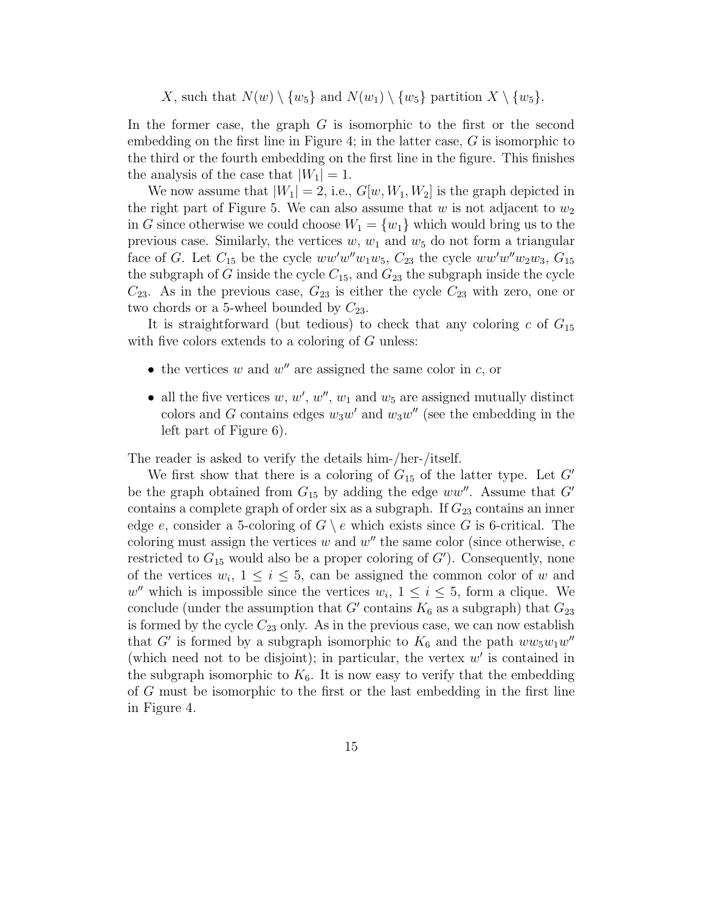X, such that  $N(w) \setminus \{w_5\}$  and  $N(w_1) \setminus \{w_5\}$  partition  $X \setminus \{w_5\}$ .

In the former case, the graph G is isomorphic to the first or the second embedding on the first line in Figure 4; in the latter case,  $G$  is isomorphic to the third or the fourth embedding on the first line in the figure. This finishes the analysis of the case that  $|W_1| = 1$ .

We now assume that  $|W_1| = 2$ , i.e.,  $G[w, W_1, W_2]$  is the graph depicted in the right part of Figure 5. We can also assume that  $w$  is not adjacent to  $w_2$ in G since otherwise we could choose  $W_1 = \{w_1\}$  which would bring us to the previous case. Similarly, the vertices  $w, w_1$  and  $w_5$  do not form a triangular face of G. Let  $C_{15}$  be the cycle  $ww'w_1w_5$ ,  $C_{23}$  the cycle  $ww'w'w_2w_3$ ,  $G_{15}$ the subgraph of G inside the cycle  $C_{15}$ , and  $G_{23}$  the subgraph inside the cycle  $C_{23}$ . As in the previous case,  $G_{23}$  is either the cycle  $C_{23}$  with zero, one or two chords or a 5-wheel bounded by  $C_{23}$ .

It is straightforward (but tedious) to check that any coloring c of  $G_{15}$ with five colors extends to a coloring of  $G$  unless:

- the vertices w and  $w''$  are assigned the same color in c, or
- all the five vertices  $w, w', w'', w_1$  and  $w_5$  are assigned mutually distinct colors and G contains edges  $w_3w'$  and  $w_3w''$  (see the embedding in the left part of Figure 6).

The reader is asked to verify the details him-/her-/itself.

We first show that there is a coloring of  $G_{15}$  of the latter type. Let G' be the graph obtained from  $G_{15}$  by adding the edge  $ww''$ . Assume that  $G'$ contains a complete graph of order six as a subgraph. If  $G_{23}$  contains an inner edge e, consider a 5-coloring of  $G \setminus e$  which exists since G is 6-critical. The coloring must assign the vertices w and  $w''$  the same color (since otherwise, c restricted to  $G_{15}$  would also be a proper coloring of  $G'$ ). Consequently, none of the vertices  $w_i$ ,  $1 \leq i \leq 5$ , can be assigned the common color of w and w'' which is impossible since the vertices  $w_i$ ,  $1 \leq i \leq 5$ , form a clique. We conclude (under the assumption that G' contains  $K_6$  as a subgraph) that  $G_{23}$ is formed by the cycle  $C_{23}$  only. As in the previous case, we can now establish that G' is formed by a subgraph isomorphic to  $K_6$  and the path  $ww_5w_1w''$ (which need not to be disjoint); in particular, the vertex  $w'$  is contained in the subgraph isomorphic to  $K_6$ . It is now easy to verify that the embedding of G must be isomorphic to the first or the last embedding in the first line in Figure 4.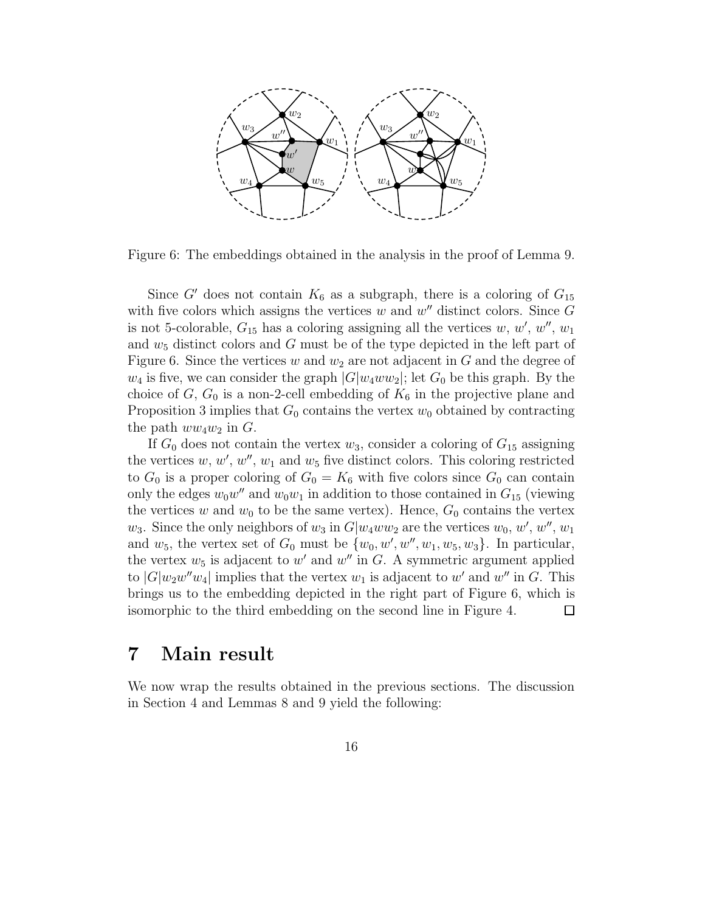

Figure 6: The embeddings obtained in the analysis in the proof of Lemma 9.

Since G' does not contain  $K_6$  as a subgraph, there is a coloring of  $G_{15}$ with five colors which assigns the vertices  $w$  and  $w''$  distinct colors. Since  $G$ is not 5-colorable,  $G_{15}$  has a coloring assigning all the vertices w, w', w'',  $w$ <sup>''</sup>, w<sub>1</sub> and  $w_5$  distinct colors and G must be of the type depicted in the left part of Figure 6. Since the vertices w and  $w_2$  are not adjacent in G and the degree of  $w_4$  is five, we can consider the graph  $|G|w_4ww_2|$ ; let  $G_0$  be this graph. By the choice of  $G, G_0$  is a non-2-cell embedding of  $K_6$  in the projective plane and Proposition 3 implies that  $G_0$  contains the vertex  $w_0$  obtained by contracting the path  $ww_4w_2$  in G.

If  $G_0$  does not contain the vertex  $w_3$ , consider a coloring of  $G_{15}$  assigning the vertices  $w, w', w'', w_1$  and  $w_5$  five distinct colors. This coloring restricted to  $G_0$  is a proper coloring of  $G_0 = K_6$  with five colors since  $G_0$  can contain only the edges  $w_0w''$  and  $w_0w_1$  in addition to those contained in  $G_{15}$  (viewing the vertices w and  $w_0$  to be the same vertex). Hence,  $G_0$  contains the vertex  $w_3$ . Since the only neighbors of  $w_3$  in  $G[w_4ww_2]$  are the vertices  $w_0, w', w'', w_1$ and  $w_5$ , the vertex set of  $G_0$  must be  $\{w_0, w', w'', w_1, w_5, w_3\}$ . In particular, the vertex  $w_5$  is adjacent to w' and w'' in G. A symmetric argument applied to  $|G|w_2w''w_4|$  implies that the vertex  $w_1$  is adjacent to  $w'$  and  $w''$  in G. This brings us to the embedding depicted in the right part of Figure 6, which is isomorphic to the third embedding on the second line in Figure 4.  $\Box$ 

### 7 Main result

We now wrap the results obtained in the previous sections. The discussion in Section 4 and Lemmas 8 and 9 yield the following: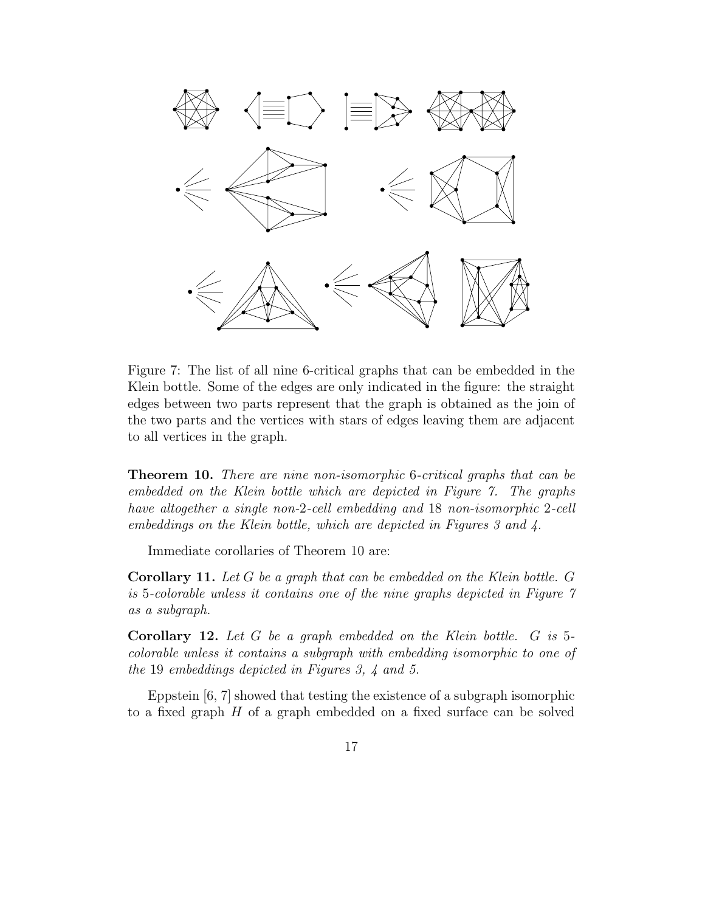

Figure 7: The list of all nine 6-critical graphs that can be embedded in the Klein bottle. Some of the edges are only indicated in the figure: the straight edges between two parts represent that the graph is obtained as the join of the two parts and the vertices with stars of edges leaving them are adjacent to all vertices in the graph.

Theorem 10. There are nine non-isomorphic 6-critical graphs that can be embedded on the Klein bottle which are depicted in Figure 7. The graphs have altogether a single non-2-cell embedding and 18 non-isomorphic 2-cell embeddings on the Klein bottle, which are depicted in Figures 3 and 4.

Immediate corollaries of Theorem 10 are:

Corollary 11. Let G be a graph that can be embedded on the Klein bottle. G is 5-colorable unless it contains one of the nine graphs depicted in Figure 7 as a subgraph.

Corollary 12. Let G be a graph embedded on the Klein bottle. G is 5colorable unless it contains a subgraph with embedding isomorphic to one of the 19 embeddings depicted in Figures 3, 4 and 5.

Eppstein [6, 7] showed that testing the existence of a subgraph isomorphic to a fixed graph  $H$  of a graph embedded on a fixed surface can be solved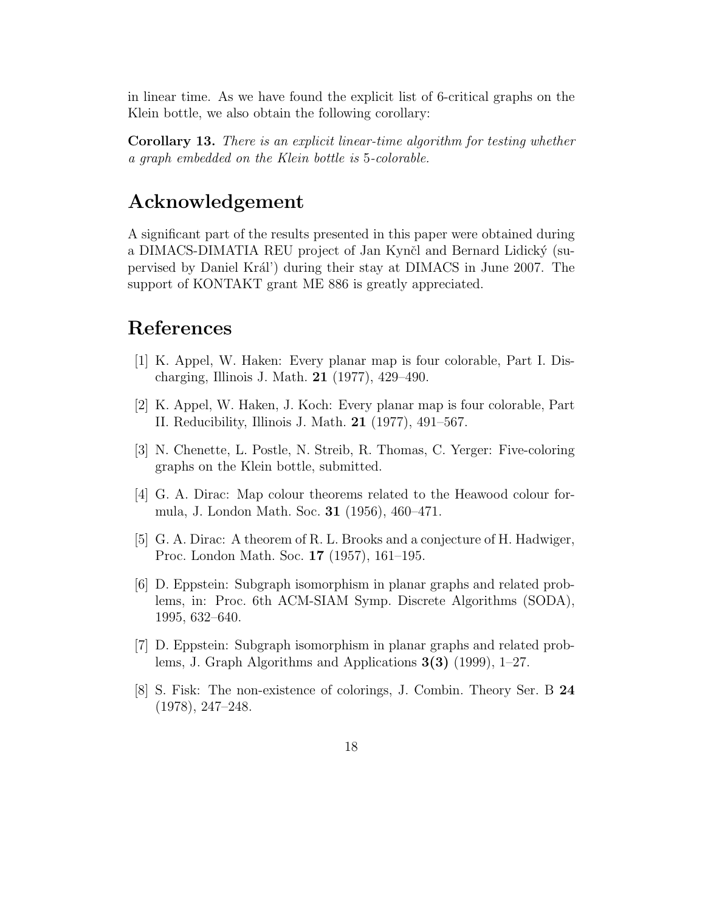in linear time. As we have found the explicit list of 6-critical graphs on the Klein bottle, we also obtain the following corollary:

Corollary 13. There is an explicit linear-time algorithm for testing whether a graph embedded on the Klein bottle is 5-colorable.

### Acknowledgement

A significant part of the results presented in this paper were obtained during a DIMACS-DIMATIA REU project of Jan Kynčl and Bernard Lidický (supervised by Daniel Kr´al') during their stay at DIMACS in June 2007. The support of KONTAKT grant ME 886 is greatly appreciated.

## References

- [1] K. Appel, W. Haken: Every planar map is four colorable, Part I. Discharging, Illinois J. Math. 21 (1977), 429–490.
- [2] K. Appel, W. Haken, J. Koch: Every planar map is four colorable, Part II. Reducibility, Illinois J. Math. 21 (1977), 491–567.
- [3] N. Chenette, L. Postle, N. Streib, R. Thomas, C. Yerger: Five-coloring graphs on the Klein bottle, submitted.
- [4] G. A. Dirac: Map colour theorems related to the Heawood colour formula, J. London Math. Soc. 31 (1956), 460–471.
- [5] G. A. Dirac: A theorem of R. L. Brooks and a conjecture of H. Hadwiger, Proc. London Math. Soc. 17 (1957), 161–195.
- [6] D. Eppstein: Subgraph isomorphism in planar graphs and related problems, in: Proc. 6th ACM-SIAM Symp. Discrete Algorithms (SODA), 1995, 632–640.
- [7] D. Eppstein: Subgraph isomorphism in planar graphs and related problems, J. Graph Algorithms and Applications 3(3) (1999), 1–27.
- [8] S. Fisk: The non-existence of colorings, J. Combin. Theory Ser. B 24 (1978), 247–248.